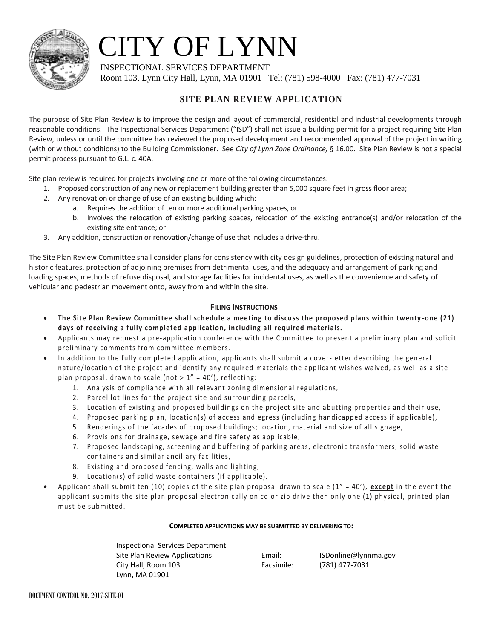

# TY OF LYNN

INSPECTIONAL SERVICES DEPARTMENT

Room 103, Lynn City Hall, Lynn, MA 01901 Tel: (781) 598-4000 Fax: (781) 477-7031

## **SITE PLAN REVIEW APPLICATION**

The purpose of Site Plan Review is to improve the design and layout of commercial, residential and industrial developments through reasonable conditions. The Inspectional Services Department ("ISD") shall not issue a building permit for a project requiring Site Plan Review, unless or until the committee has reviewed the proposed development and recommended approval of the project in writing (with or without conditions) to the Building Commissioner. See *City of Lynn Zone Ordinance,* § 16.00. Site Plan Review is not a special permit process pursuant to G.L. c. 40A.

Site plan review is required for projects involving one or more of the following circumstances:

- 1. Proposed construction of any new or replacement building greater than 5,000 square feet in gross floor area;
- 2. Any renovation or change of use of an existing building which:
	- a. Requires the addition of ten or more additional parking spaces, or
		- b. Involves the relocation of existing parking spaces, relocation of the existing entrance(s) and/or relocation of the existing site entrance; or
- 3. Any addition, construction or renovation/change of use that includes a drive-thru.

The Site Plan Review Committee shall consider plans for consistency with city design guidelines, protection of existing natural and historic features, protection of adjoining premises from detrimental uses, and the adequacy and arrangement of parking and loading spaces, methods of refuse disposal, and storage facilities for incidental uses, as well as the convenience and safety of vehicular and pedestrian movement onto, away from and within the site.

### **FILING INSTRUCTIONS**

- **The Site Plan Review Committee shall schedule a meeting to discuss the proposed plans within twenty -one (21) days of receiving a fully completed application, including all required materials.**
- Applicants may request a pre-application conference with the Committee to present a preliminary plan and solicit preliminary comments from committee members.
- In addition to the fully completed application, applicants shall submit a cover-letter describing the general nature/location of the project and identify any required materials the applicant wishes waived, as well as a site plan proposal, drawn to scale (not  $> 1" = 40'$ ), reflecting:
	- 1. Analysis of compliance with all relevant zoning dimensional regulations,
	- 2. Parcel lot lines for the project site and surrounding parcels,
	- 3. Location of existing and proposed buildings on the project site and abutting properties and their use,
	- 4. Proposed parking plan, location(s) of access and egress (including handicapped access if applicable),
	- 5. Renderings of the facades of proposed buildings; location, material and size of all signage,
	- 6. Provisions for drainage, sewage and fire safety as applicable,
	- 7. Proposed landscaping, screening and buffering of parking areas, electronic transformers, solid waste containers and similar ancillary facilities,
	- 8. Existing and proposed fencing, walls and lighting,
	- 9. Location(s) of solid waste containers (if applicable).
- Applicant shall submit ten (10) copies of the site plan proposal drawn to scale (1" = 40'), **except** in the event the applicant submits the site plan proposal electronically on cd or zip drive then only one (1) physical, printed plan must be submitted.

#### **COMPLETED APPLICATIONS MAY BE SUBMITTED BY DELIVERING TO:**

Inspectional Services Department Site Plan Review Applications **Email:** ISDonline@lynnma.gov City Hall, Room 103 Facsimile: (781) 477-7031 Lynn, MA 01901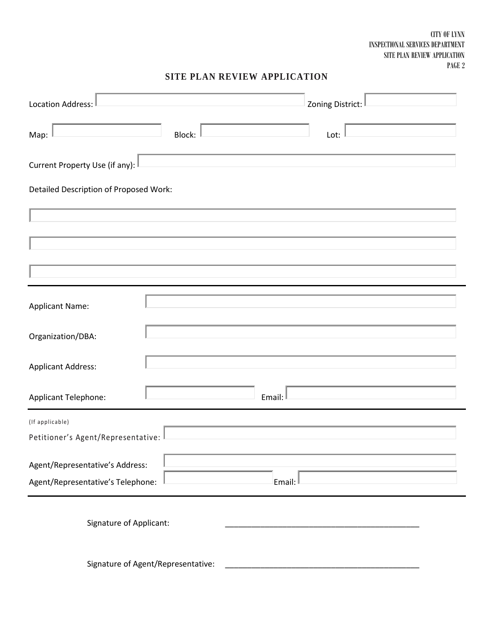CITY OF LYNN INSPECTIONAL SERVICES DEPARTMENT SITE PLAN REVIEW APPLICATION PAGE 2

## **SITE PLAN REVIEW APPLICATION**

| Location Address:<br>Zoning District:                                          |  |
|--------------------------------------------------------------------------------|--|
| Map:<br>Block:<br>Lot:                                                         |  |
| Current Property Use (if any):                                                 |  |
| Detailed Description of Proposed Work:                                         |  |
|                                                                                |  |
|                                                                                |  |
|                                                                                |  |
| <b>Applicant Name:</b>                                                         |  |
| Organization/DBA:                                                              |  |
| <b>Applicant Address:</b>                                                      |  |
| Email:<br>Applicant Telephone:                                                 |  |
| (If applicable)<br>Petitioner's Agent/Representative:                          |  |
| Agent/Representative's Address:<br>Agent/Representative's Telephone:<br>Email: |  |
| Signature of Applicant:                                                        |  |
| Signature of Agent/Representative:                                             |  |